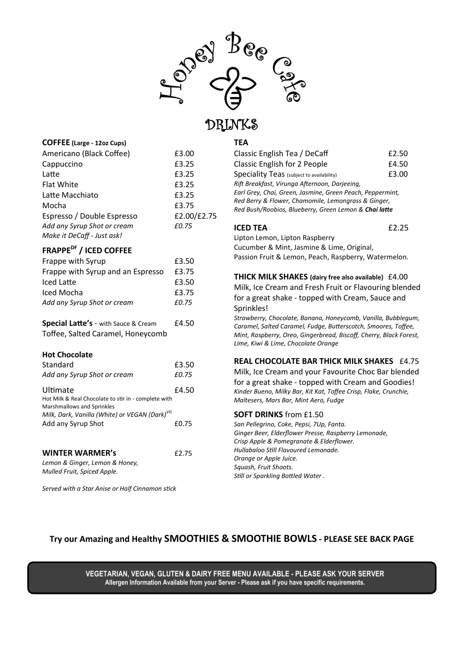

## DRINKS

## **COFFEE (Large - 12oz Cups)**

| Americano (Black Coffee)    | £3.00       |
|-----------------------------|-------------|
| Cappuccino                  | £3.25       |
| Latte                       | £3.25       |
| Flat White                  | £3.25       |
| Latte Macchiato             | £3.25       |
| Mocha                       | £3.75       |
| Espresso / Double Espresso  | £2.00/£2.75 |
| Add any Syrup Shot or cream | £0.75       |
| Make it DeCaff - Just ask!  |             |

## **FRAPPEDF / ICED COFFEE**

| Frappe with Syrup                 | £3.50 |
|-----------------------------------|-------|
| Frappe with Syrup and an Espresso | £3.75 |
| Iced Latte                        | £3.50 |
| Iced Mocha                        | £3.75 |
| Add any Syrup Shot or cream       | £0.75 |

| <b>Special Latte's</b> - with Sauce & Cream | £4.50 |
|---------------------------------------------|-------|
| Toffee, Salted Caramel, Honeycomb           |       |

### **Hot Chocolate**

| Standard                                                                           | £3.50 |
|------------------------------------------------------------------------------------|-------|
| Add any Syrup Shot or cream                                                        | £0.75 |
| Ultimate                                                                           | £4.50 |
| Hot Milk & Real Chocolate to stir in - complete with<br>Marshmallows and Sprinkles |       |
| Milk, Dark, Vanilla (White) or VEGAN (Dark) <sup>VG</sup>                          |       |
| Add any Syrup Shot                                                                 | £0.75 |
|                                                                                    |       |

## **WINTER WARMER's** £2.75

*Lemon & Ginger, Lemon & Honey, Mulled Fruit, Spiced Apple.*

*Served with a Star Anise or Half Cinnamon stick*

## **TEA**

| Classic English Tea / DeCaff                              | £2.50 |
|-----------------------------------------------------------|-------|
| <b>Classic English for 2 People</b>                       | £4.50 |
| Speciality Teas (subject to availability)                 | £3.00 |
| Rift Breakfast, Virunga Afternoon, Darjeeing,             |       |
| Earl Grey, Chai, Green, Jasmine, Green Peach, Peppermint, |       |
| Red Berry & Flower, Chamomile, Lemongrass & Ginger,       |       |
| Red Bush/Roobios, Blueberry, Green Lemon & Chai latte     |       |
|                                                           |       |

## **ICED TEA** £2.25

Lipton Lemon, Lipton Raspberry Cucumber & Mint, Jasmine & Lime, Original, Passion Fruit & Lemon, Peach, Raspberry, Watermelon.

**THICK MILK SHAKES (dairy free also available)** £4.00 Milk, Ice Cream and Fresh Fruit or Flavouring blended for a great shake - topped with Cream, Sauce and Sprinkles!

*Strawberry, Chocolate, Banana, Honeycomb, Vanilla, Bubblegum, Caramel, Salted Caramel, Fudge, Butterscotch, Smoores, Toffee, Mint, Raspberry, Oreo, Gingerbread, Biscoff, Cherry, Black Forest, Lime, Kiwi & Lime, Chocolate Orange*

## **REAL CHOCOLATE BAR THICK MILK SHAKES** £4.75

Milk, Ice Cream and your Favourite Choc Bar blended for a great shake - topped with Cream and Goodies! *Kinder Bueno, Milky Bar, Kit Kat, Toffee Crisp, Flake, Crunchie, Maltesers, Mars Bar, Mint Aero, Fudge*

### **SOFT DRINKS** from £1.50

*San Pellegrino, Coke, Pepsi, 7Up, Fanta. Ginger Beer, Elderflower Presse, Raspberry Lemonade, Crisp Apple & Pomegranate & Elderflower. Hullabaloo Still Flavoured Lemonade. Orange or Apple Juice. Squash, Fruit Shoots. Still or Sparkling Bottled Water .*

## **Try our Amazing and Healthy SMOOTHIES & SMOOTHIE BOWLS - PLEASE SEE BACK PAGE**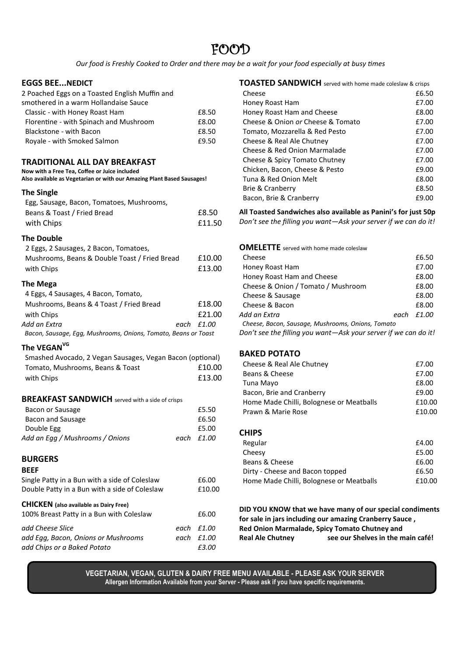## FOOD

*Our food is Freshly Cooked to Order and there may be a wait for your food especially at busy times*

## **EGGS BEE...NEDICT**

| <b>EGGS BEE…NEDICT</b>                                                                                                                                   |      |        |
|----------------------------------------------------------------------------------------------------------------------------------------------------------|------|--------|
| 2 Poached Eggs on a Toasted English Muffin and                                                                                                           |      |        |
| smothered in a warm Hollandaise Sauce                                                                                                                    |      |        |
| Classic - with Honey Roast Ham                                                                                                                           |      | £8.50  |
| Florentine - with Spinach and Mushroom                                                                                                                   |      | £8.00  |
| Blackstone - with Bacon                                                                                                                                  |      | £8.50  |
| Royale - with Smoked Salmon                                                                                                                              |      | £9.50  |
| TRADITIONAL ALL DAY BREAKFAST<br>Now with a Free Tea, Coffee or Juice included<br>Also available as Vegetarian or with our Amazing Plant Based Sausages! |      |        |
| <b>The Single</b>                                                                                                                                        |      |        |
| Egg, Sausage, Bacon, Tomatoes, Mushrooms,                                                                                                                |      |        |
| Beans & Toast / Fried Bread                                                                                                                              |      | £8.50  |
| with Chips                                                                                                                                               |      | £11.50 |
| <b>The Double</b>                                                                                                                                        |      |        |
| 2 Eggs, 2 Sausages, 2 Bacon, Tomatoes,                                                                                                                   |      |        |
| Mushrooms, Beans & Double Toast / Fried Bread                                                                                                            |      | £10.00 |
| with Chips                                                                                                                                               |      | £13.00 |
| <b>The Mega</b>                                                                                                                                          |      |        |
| 4 Eggs, 4 Sausages, 4 Bacon, Tomato,                                                                                                                     |      |        |
| Mushrooms, Beans & 4 Toast / Fried Bread                                                                                                                 |      | £18.00 |
| with Chips                                                                                                                                               |      | £21.00 |
| Add an Extra                                                                                                                                             | each | £1.00  |
| Bacon, Sausage, Egg, Mushrooms, Onions, Tomato, Beans or Toast                                                                                           |      |        |
| The VEGAN <sup>VG</sup>                                                                                                                                  |      |        |
| Smashed Avocado, 2 Vegan Sausages, Vegan Bacon (optional)                                                                                                |      |        |
| Tomato, Mushrooms, Beans & Toast                                                                                                                         |      | £10.00 |
| with Chips                                                                                                                                               |      | £13.00 |
| <b>BREAKFAST SANDWICH</b> served with a side of crisps                                                                                                   |      |        |
| Bacon or Sausage                                                                                                                                         |      | £5.50  |
| <b>Bacon and Sausage</b>                                                                                                                                 |      | £6.50  |
| Double Egg                                                                                                                                               |      | £5.00  |
| Add an Egg / Mushrooms / Onions                                                                                                                          | each | £1.00  |
|                                                                                                                                                          |      |        |
| <b>BURGERS</b><br><b>BEEF</b>                                                                                                                            |      |        |
| Single Patty in a Bun with a side of Coleslaw                                                                                                            |      | £6.00  |
| Double Patty in a Bun with a side of Coleslaw                                                                                                            |      | £10.00 |
| <b>CHICKEN</b> (also available as Dairy Free)                                                                                                            |      |        |
| 100% Breast Patty in a Bun with Coleslaw                                                                                                                 |      | £6.00  |
| add Cheese Slice                                                                                                                                         | each | £1.00  |
| add Egg, Bacon, Onions or Mushrooms                                                                                                                      | each | £1.00  |
| add Chips or a Baked Potato                                                                                                                              |      | £3.00  |

| <b>TOASTED SANDWICH</b> served with home made coleslaw & crisps |       |
|-----------------------------------------------------------------|-------|
| Cheese                                                          | £6.50 |
| Honey Roast Ham                                                 | £7.00 |
| Honey Roast Ham and Cheese                                      | £8.00 |
| Cheese & Onion or Cheese & Tomato                               | £7.00 |
| Tomato, Mozzarella & Red Pesto                                  | £7.00 |
| Cheese & Real Ale Chutney                                       | £7.00 |
| Cheese & Red Onion Marmalade                                    | £7.00 |
| Cheese & Spicy Tomato Chutney                                   | £7.00 |
| Chicken, Bacon, Cheese & Pesto                                  | £9.00 |
| Tuna & Red Onion Melt                                           | £8.00 |
| Brie & Cranberry                                                | £8.50 |
| Bacon, Brie & Cranberry                                         | £9.00 |
|                                                                 |       |

**All Toasted Sandwiches also available as Panini's for just 50p** *Don't see the filling you want—Ask your server if we can do it!*

| <b>OMELETTE</b> served with home made coleslaw                  |      |        |
|-----------------------------------------------------------------|------|--------|
| Cheese                                                          |      | £6.50  |
| Honey Roast Ham                                                 |      | £7.00  |
| Honey Roast Ham and Cheese                                      |      | £8.00  |
| Cheese & Onion / Tomato / Mushroom                              |      | £8.00  |
| Cheese & Sausage                                                |      | £8.00  |
| Cheese & Bacon                                                  |      | £8.00  |
| Add an Extra                                                    | each | f 1.00 |
| Cheese, Bacon, Sausage, Mushrooms, Onions, Tomato               |      |        |
| Don't see the filling you want—Ask your server if we can do it! |      |        |

## **BAKED POTATO**

| £7.00  |
|--------|
| £7.00  |
| £8.00  |
| £9.00  |
| £10.00 |
| £10.00 |
|        |

## **CHIPS**

| Regular                                  | £4.00  |
|------------------------------------------|--------|
| Cheesy                                   | £5.00  |
| Beans & Cheese                           | £6.00  |
| Dirty - Cheese and Bacon topped          | £6.50  |
| Home Made Chilli, Bolognese or Meatballs | £10.00 |

**DID YOU KNOW that we have many of our special condiments for sale in jars including our amazing Cranberry Sauce , Red Onion Marmalade, Spicy Tomato Chutney and Real Ale Chutney see our Shelves in the main café!**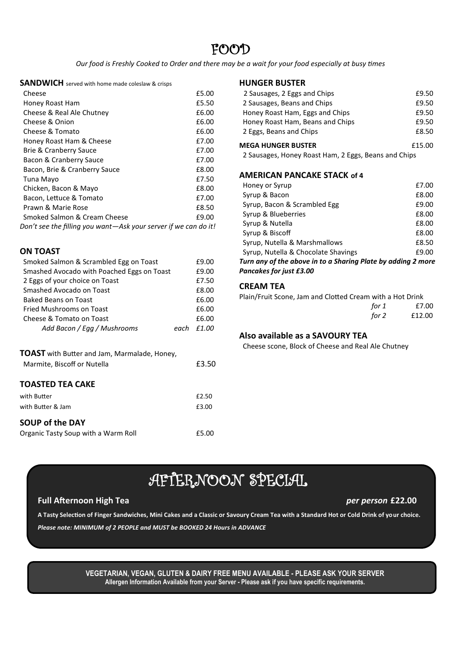## FOOD

*Our food is Freshly Cooked to Order and there may be a wait for your food especially at busy times*

**SANDWICH** served with home made coleslaw & crisps

| Cheese                                                          | £5.00 |  |
|-----------------------------------------------------------------|-------|--|
| Honey Roast Ham                                                 | £5.50 |  |
| Cheese & Real Ale Chutney                                       | £6.00 |  |
| Cheese & Onion                                                  | £6.00 |  |
| Cheese & Tomato                                                 | £6.00 |  |
| Honey Roast Ham & Cheese                                        | £7.00 |  |
| <b>Brie &amp; Cranberry Sauce</b>                               | £7.00 |  |
| Bacon & Cranberry Sauce                                         | £7.00 |  |
| Bacon, Brie & Cranberry Sauce                                   | £8.00 |  |
| Tuna Mayo                                                       | £7.50 |  |
| Chicken, Bacon & Mayo                                           | £8.00 |  |
| Bacon, Lettuce & Tomato                                         | £7.00 |  |
| Prawn & Marie Rose                                              | £8.50 |  |
| Smoked Salmon & Cream Cheese                                    | £9.00 |  |
| Don't see the filling you want—Ask your server if we can do it! |       |  |

## **ON TOAST**

| Smoked Salmon & Scrambled Egg on Toast                                             |      | £9.00 |
|------------------------------------------------------------------------------------|------|-------|
| Smashed Avocado with Poached Eggs on Toast                                         |      | £9.00 |
| 2 Eggs of your choice on Toast                                                     |      | £7.50 |
| Smashed Avocado on Toast                                                           |      | £8.00 |
| <b>Baked Beans on Toast</b>                                                        |      | £6.00 |
| Fried Mushrooms on Toast                                                           |      | £6.00 |
| Cheese & Tomato on Toast                                                           |      | £6.00 |
| Add Bacon / Egg / Mushrooms                                                        | each | £1.00 |
| <b>TOAST</b> with Butter and Jam, Marmalade, Honey,<br>Marmite, Biscoff or Nutella |      | £3.50 |
| <b>TOASTED TEA CAKE</b>                                                            |      |       |
| with Butter                                                                        |      | £2.50 |
| with Butter & Jam                                                                  |      | £3.00 |
| <b>SOUP of the DAY</b>                                                             |      |       |
| Organic Tasty Soup with a Warm Roll                                                |      | £5.00 |

## **HUNGER BUSTER**

| Honey Roast Ham, Beans and Chips<br>2 Eggs, Beans and Chips | £9.50<br>£8.50 |
|-------------------------------------------------------------|----------------|
|                                                             |                |
| <b>MEGA HUNGER BUSTER</b>                                   | £15.00         |

2 Sausages, Honey Roast Ham, 2 Eggs, Beans and Chips

## **AMERICAN PANCAKE STACK of 4**

| Honey or Syrup                                               |  | £7.00 |
|--------------------------------------------------------------|--|-------|
| Syrup & Bacon                                                |  | £8.00 |
| Syrup, Bacon & Scrambled Egg                                 |  | £9.00 |
| Syrup & Blueberries                                          |  | £8.00 |
| Syrup & Nutella                                              |  | £8.00 |
| Syrup & Biscoff                                              |  | £8.00 |
| Syrup, Nutella & Marshmallows                                |  | £8.50 |
| Syrup, Nutella & Chocolate Shavings                          |  | £9.00 |
| Turn any of the above in to a Sharing Plate by adding 2 more |  |       |
| Pancakes for just £3.00                                      |  |       |

### **CREAM TEA**

Plain/Fruit Scone, Jam and Clotted Cream with a Hot Drink *for 1* £7.00 *for 2* £12.00

## **Also available as a SAVOURY TEA**

Cheese scone, Block of Cheese and Real Ale Chutney

# AFTERNOON SPECIAL

### **Full Afternoon High Tea** *per person* **£22.00**

**A Tasty Selection of Finger Sandwiches, Mini Cakes and a Classic or Savoury Cream Tea with a Standard Hot or Cold Drink of your choice.** *Please note: MINIMUM of 2 PEOPLE and MUST be BOOKED 24 Hours in ADVANCE*